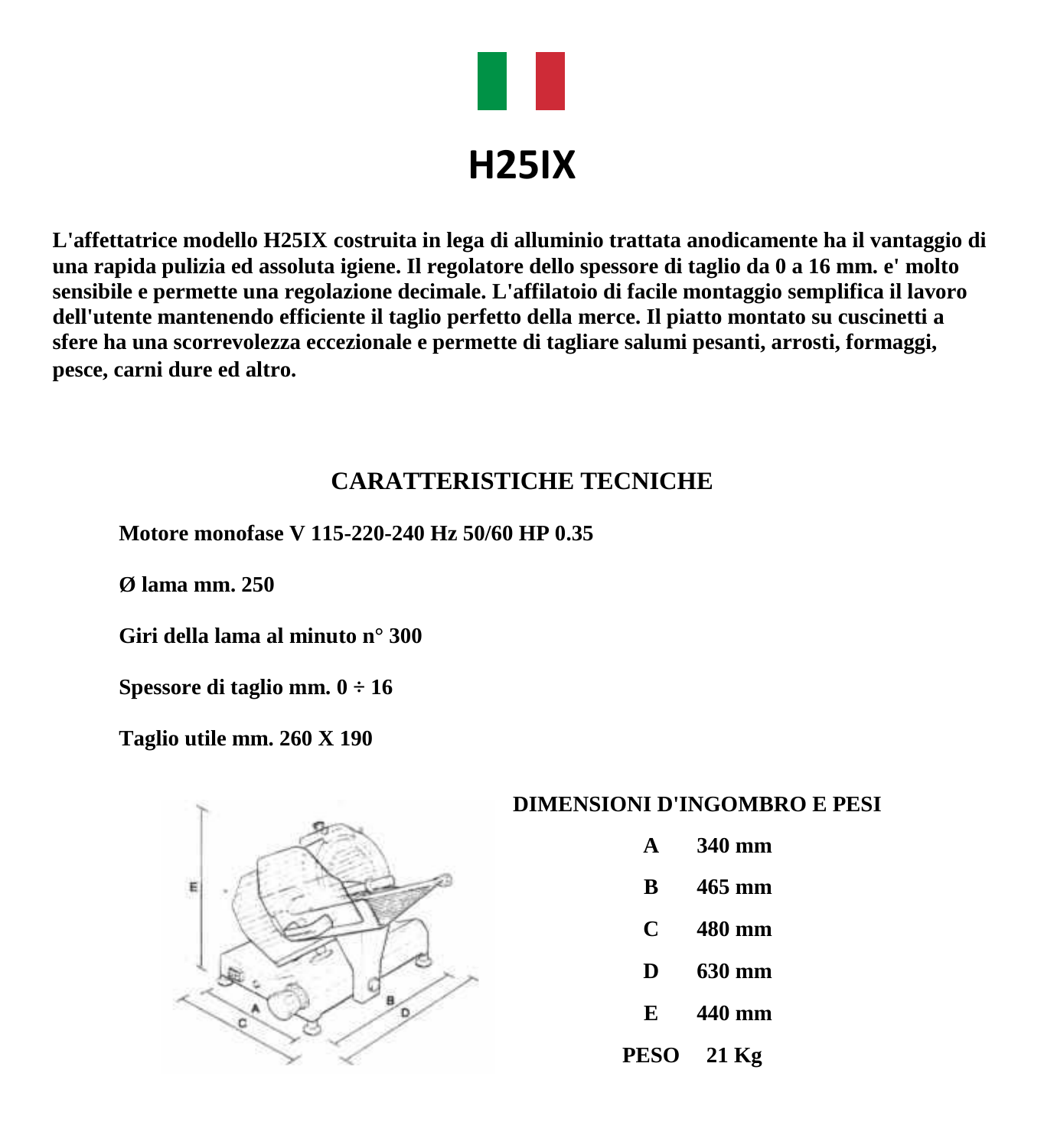

**L'affettatrice modello H25IX costruita in lega di alluminio trattata anodicamente ha il vantaggio di una rapida pulizia ed assoluta igiene. Il regolatore dello spessore di taglio da 0 a 16 mm. e' molto sensibile e permette una regolazione decimale. L'affilatoio di facile montaggio semplifica il lavoro dell'utente mantenendo efficiente il taglio perfetto della merce. Il piatto montato su cuscinetti a sfere ha una scorrevolezza eccezionale e permette di tagliare salumi pesanti, arrosti, formaggi, pesce, carni dure ed altro.**

### **CARATTERISTICHE TECNICHE**

**Motore monofase V 115-220-240 Hz 50/60 HP 0.35**

**Ø lama mm. 250**

**Giri della lama al minuto n° 300**

**Spessore di taglio mm. 0 ÷ 16**

**Taglio utile mm. 260 X 190**



#### **DIMENSIONI D'INGOMBRO E PESI**

- **A 340 mm**
- **B 465 mm**
- **C 480 mm**
- **D 630 mm**
- **E 440 mm**
- **PESO 21 Kg**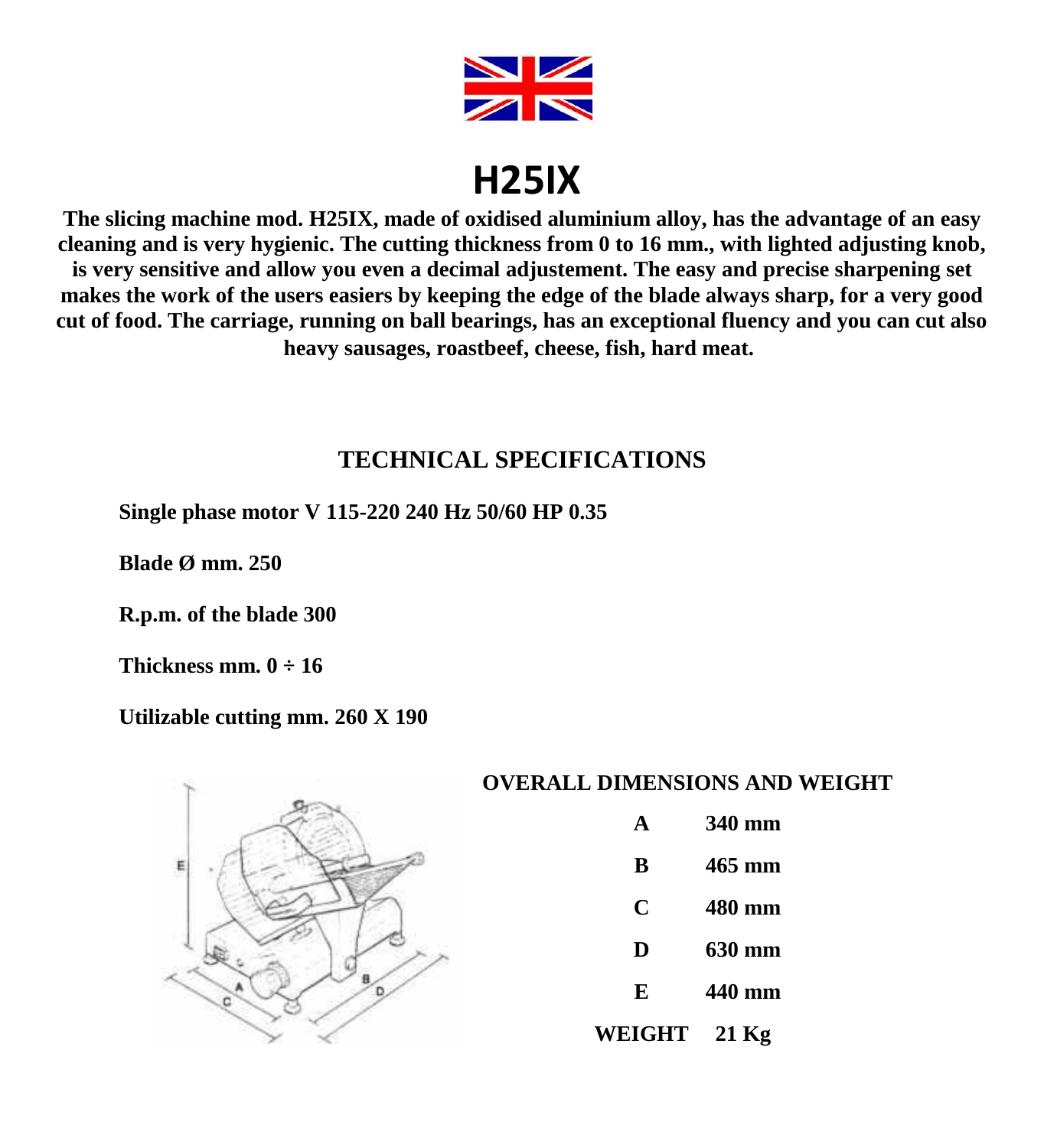

## **H25IX**

**The slicing machine mod. H25IX, made of oxidised aluminium alloy, has the advantage of an easy cleaning and is very hygienic. The cutting thickness from 0 to 16 mm., with lighted adjusting knob, is very sensitive and allow you even a decimal adjustement. The easy and precise sharpening set makes the work of the users easiers by keeping the edge of the blade always sharp, for a very good cut of food. The carriage, running on ball bearings, has an exceptional fluency and you can cut also heavy sausages, roastbeef, cheese, fish, hard meat.**

## **TECHNICAL SPECIFICATIONS**

**Single phase motor V 115-220 240 Hz 50/60 HP 0.35**

**Blade Ø mm. 250**

**R.p.m. of the blade 300**

**Thickness mm. 0 ÷ 16**

#### **Utilizable cutting mm. 260 X 190**



#### **OVERALL DIMENSIONS AND WEIGHT**

- **A 340 mm**
- **B 465 mm**
- 
- **C 480 mm**
- **D 630 mm**
- **E 440 mm**
- **WEIGHT 21 Kg**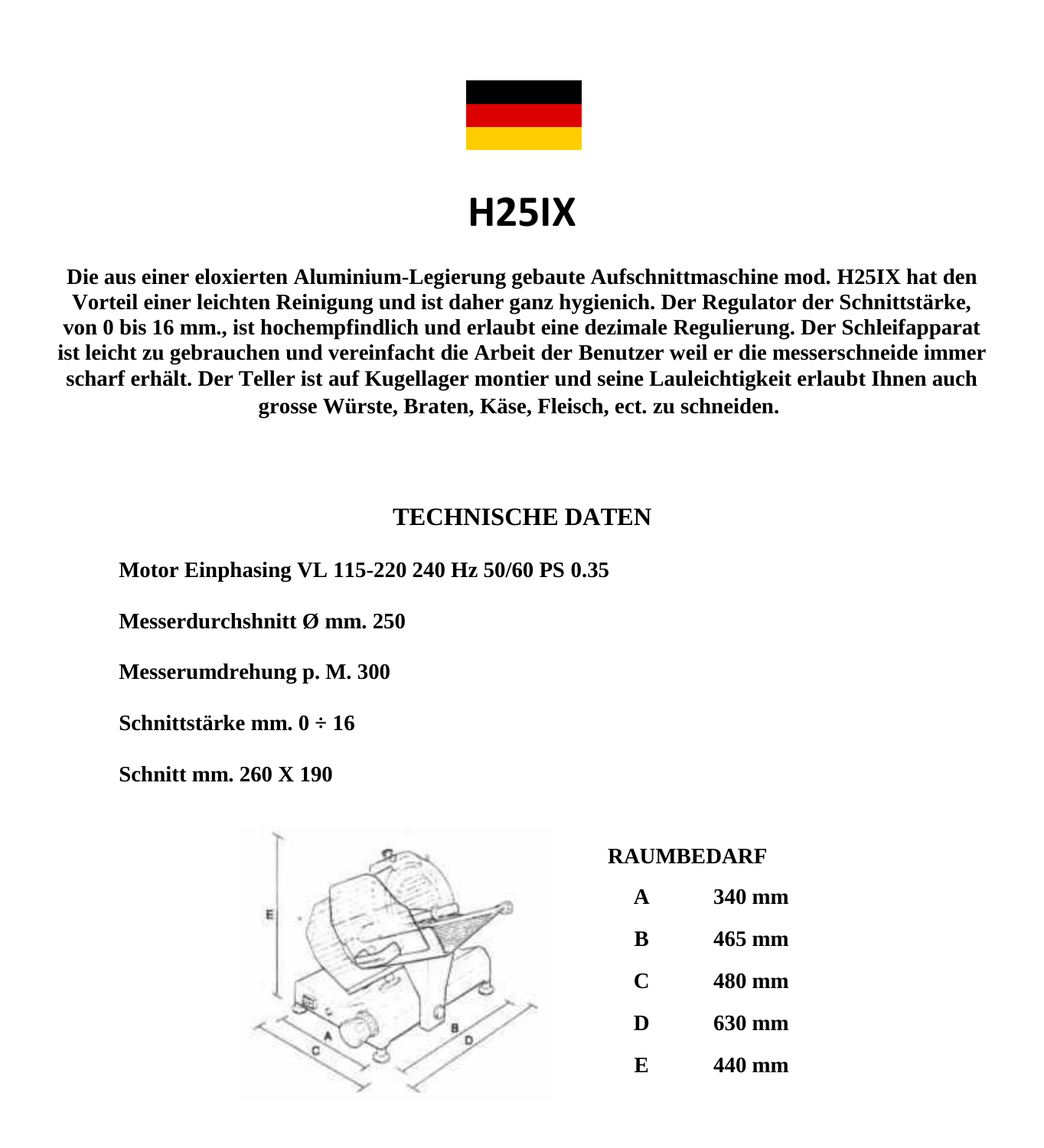

# **H25IX**

**Die aus einer eloxierten Aluminium-Legierung gebaute Aufschnittmaschine mod. H25IX hat den Vorteil einer leichten Reinigung und ist daher ganz hygienich. Der Regulator der Schnittstärke, von 0 bis 16 mm., ist hochempfindlich und erlaubt eine dezimale Regulierung. Der Schleifapparat ist leicht zu gebrauchen und vereinfacht die Arbeit der Benutzer weil er die messerschneide immer scharf erhält. Der Teller ist auf Kugellager montier und seine Lauleichtigkeit erlaubt Ihnen auch grosse Würste, Braten, Käse, Fleisch, ect. zu schneiden.**

## **TECHNISCHE DATEN**

**Motor Einphasing VL 115-220 240 Hz 50/60 PS 0.35**

**Messerdurchshnitt Ø mm. 250**

**Messerumdrehung p. M. 300**

**Schnittstärke mm. 0 ÷ 16**

**Schnitt mm. 260 X 190**



**RAUMBEDARF**

| $\Delta$ | 340 mm |
|----------|--------|
| B        | 465 mm |
| C        | 480 mm |
| D        | 630 mm |
| F.       | 440 mm |